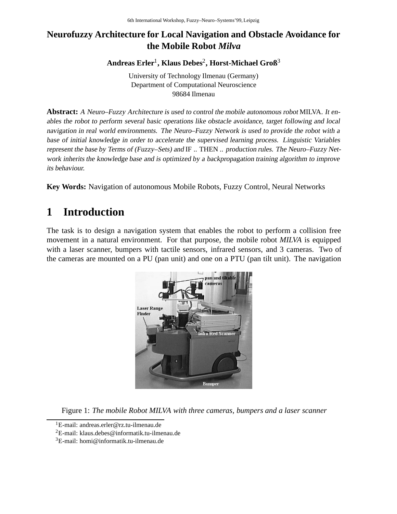## **Neurofuzzy Architecture for Local Navigation and Obstacle Avoidance for the Mobile Robot** *Milva*

**Andreas Erler**1**, Klaus Debes**2**, Horst-Michael Groß**<sup>3</sup>

University of Technology Ilmenau (Germany) Department of Computational Neuroscience 98684 Ilmenau

**Abstract:** <sup>A</sup> Neuro–Fuzzy Architecture is used to control the mobile autonomous robot MILVA. It enables the robot to perform several basic operations like obstacle avoidance, target following and local navigation in real world environments. The Neuro–Fuzzy Network is used to provide the robot with <sup>a</sup> base of initial knowledge in order to accelerate the supervised learning process. Linguistic Variables represent the base by Terms of (Fuzzy–Sets) and IF .. THEN .. production rules. The Neuro–Fuzzy Network inherits the knowledge base and is optimized by <sup>a</sup> backpropagation training algorithm to improve its behaviour.

**Key Words:** Navigation of autonomous Mobile Robots, Fuzzy Control, Neural Networks

# **1 Introduction**

The task is to design a navigation system that enables the robot to perform a collision free movement in a natural environment. For that purpose, the mobile robot *MILVA* is equipped with a laser scanner, bumpers with tactile sensors, infrared sensors, and 3 cameras. Two of the cameras are mounted on a PU (pan unit) and one on a PTU (pan tilt unit). The navigation



Figure 1: *The mobile Robot MILVA with three cameras, bumpers and a laser scanner*

<sup>1</sup>E-mail: andreas.erler@rz.tu-ilmenau.de

<sup>&</sup>lt;sup>2</sup>E-mail: klaus.debes@informatik.tu-ilmenau.de

 $3E$ -mail: homi@informatik.tu-ilmenau.de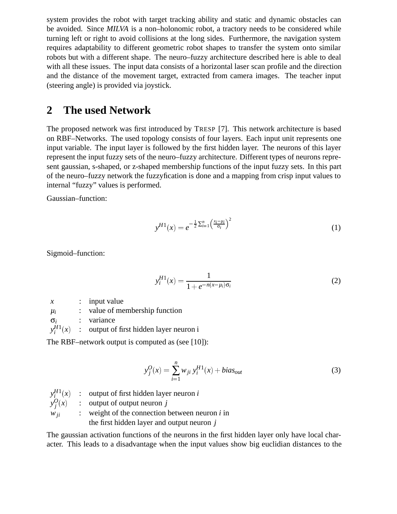system provides the robot with target tracking ability and static and dynamic obstacles can be avoided. Since *MILVA* is a non–holonomic robot, a tractory needs to be considered while turning left or right to avoid collisions at the long sides. Furthermore, the navigation system requires adaptability to different geometric robot shapes to transfer the system onto similar robots but with a different shape. The neuro–fuzzy architecture described here is able to deal with all these issues. The input data consists of a horizontal laser scan profile and the direction and the distance of the movement target, extracted from camera images. The teacher input (steering angle) is provided via joystick.

## **2 The used Network**

The proposed network was first introduced by TRESP [7]. This network architecture is based on RBF–Networks. The used topology consists of four layers. Each input unit represents one input variable. The input layer is followed by the first hidden layer. The neurons of this layer represent the input fuzzy sets of the neuro–fuzzy architecture. Different types of neurons represent gaussian, s-shaped, or z-shaped membership functions of the input fuzzy sets. In this part of the neuro–fuzzy network the fuzzyfication is done and a mapping from crisp input values to internal "fuzzy" values is performed.

Gaussian–function:

$$
y^{H1}(x) = e^{-\frac{1}{2}\sum_{i=1}^{n} \left(\frac{x_i - \mu_i}{\sigma_i}\right)^2}
$$
 (1)

Sigmoid–function:

$$
y_i^{H1}(x) = \frac{1}{1 + e^{-n(x - \mu_i)\sigma_i}}
$$
 (2)

*x* : input value

 $\mu_i$  : value of membership function

σ*<sup>i</sup>* : variance

 $y_i^{H1}(x)$ : output of first hidden layer neuron i

The RBF–network output is computed as (see [10]):

$$
y_j^O(x) = \sum_{i=1}^n w_{ji} y_i^{H1}(x) + bias_{out}
$$
 (3)

 $y_i^{H1}(x)$  : output of first hidden layer neuron *i*  $y_j^O(x)$  : output of output neuron *j*  $w_{ii}$  : weight of the connection between neuron *i* in the first hidden layer and output neuron *j*

The gaussian activation functions of the neurons in the first hidden layer only have local character. This leads to a disadvantage when the input values show big euclidian distances to the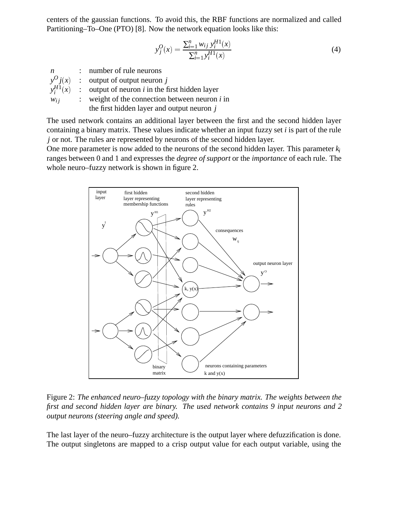centers of the gaussian functions. To avoid this, the RBF functions are normalized and called Partitioning–To–One (PTO) [8]. Now the network equation looks like this:

$$
y_j^O(x) = \frac{\sum_{i=1}^n w_{ij} y_i^{H1}(x)}{\sum_{i=1}^n y_i^{H1}(x)}
$$
(4)

| $\boldsymbol{n}$ | : number of rule neurons                         |
|------------------|--------------------------------------------------|
|                  | $v^{O} i(x)$ : output of output neuron j         |
| $y_i^{H1}(x)$    | : output of neuron $i$ in the first hidden layer |
| $W_{ij}$         | : weight of the connection between neuron $i$ in |
|                  | the first hidden layer and output neuron $j$     |

The used network contains an additional layer between the first and the second hidden layer containing a binary matrix. These values indicate whether an input fuzzy set *i* is part of the rule *j* or not. The rules are represented by neurons of the second hidden layer.

One more parameter is now added to the neurons of the second hidden layer. This parameter *ki* ranges between 0 and 1 and expresses the *degree of support* or the *importance* of each rule. The whole neuro–fuzzy network is shown in figure 2.



Figure 2: *The enhanced neuro–fuzzy topology with the binary matrix. The weights between the first and second hidden layer are binary. The used network contains 9 input neurons and 2 output neurons (steering angle and speed).*

The last layer of the neuro–fuzzy architecture is the output layer where defuzzification is done. The output singletons are mapped to a crisp output value for each output variable, using the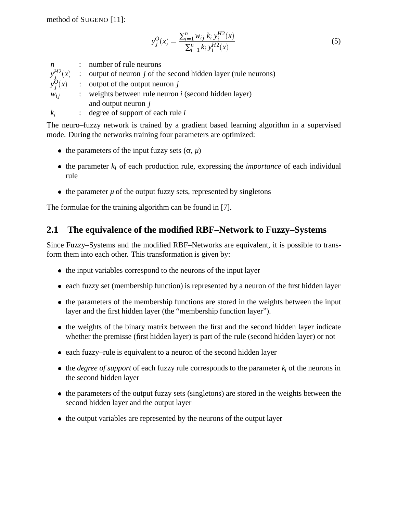$$
y_j^O(x) = \frac{\sum_{i=1}^n w_{ij} k_i y_i^{H2}(x)}{\sum_{i=1}^n k_i y_i^{H2}(x)}
$$
(5)

*n* : number of rule neurons  $y_j^{H2}(x)$  : output of neuron *j* of the second hidden layer (rule neurons)  $y_j^Q(x)$  : output of the output neuron *j*  $w_{ij}$  : weights between rule neuron *i* (second hidden layer)

and output neuron *j*

*ki* : degree of support of each rule *i*

The neuro–fuzzy network is trained by a gradient based learning algorithm in a supervised mode. During the networks training four parameters are optimized:

- the parameters of the input fuzzy sets  $(\sigma, \mu)$
- $\bullet$  the parameter  $k_i$  of each production rule, expressing the *importance* of each individual rule
- $\bullet$  the parameter  $\mu$  of the output fuzzy sets, represented by singletons

The formulae for the training algorithm can be found in [7].

#### **2.1 The equivalence of the modified RBF–Network to Fuzzy–Systems**

Since Fuzzy–Systems and the modified RBF–Networks are equivalent, it is possible to transform them into each other. This transformation is given by:

- the input variables correspond to the neurons of the input layer
- each fuzzy set (membership function) is represented by a neuron of the first hidden layer
- the parameters of the membership functions are stored in the weights between the input layer and the first hidden layer (the "membership function layer").
- the weights of the binary matrix between the first and the second hidden layer indicate whether the premisse (first hidden layer) is part of the rule (second hidden layer) or not
- each fuzzy–rule is equivalent to a neuron of the second hidden layer
- $\bullet$  the *degree of support* of each fuzzy rule corresponds to the parameter  $k_i$  of the neurons in the second hidden layer
- the parameters of the output fuzzy sets (singletons) are stored in the weights between the second hidden layer and the output layer
- the output variables are represented by the neurons of the output layer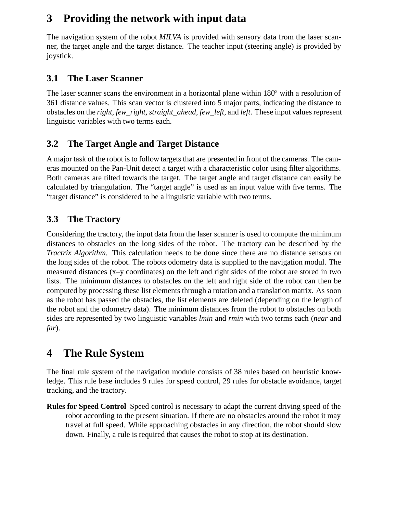# **3 Providing the network with input data**

The navigation system of the robot *MILVA* is provided with sensory data from the laser scanner, the target angle and the target distance. The teacher input (steering angle) is provided by joystick.

## **3.1 The Laser Scanner**

The laser scanner scans the environment in a horizontal plane within  $180^{\circ}$  with a resolution of 361 distance values. This scan vector is clustered into 5 major parts, indicating the distance to obstacles on the *right*, *few\_right*, *straight\_ahead*, *few\_left*, and *left*. These input values represent linguistic variables with two terms each.

## **3.2 The Target Angle and Target Distance**

A major task of the robot is to follow targets that are presented in front of the cameras. The cameras mounted on the Pan-Unit detect a target with a characteristic color using filter algorithms. Both cameras are tilted towards the target. The target angle and target distance can easily be calculated by triangulation. The "target angle" is used as an input value with five terms. The "target distance" is considered to be a linguistic variable with two terms.

# **3.3 The Tractory**

Considering the tractory, the input data from the laser scanner is used to compute the minimum distances to obstacles on the long sides of the robot. The tractory can be described by the *Tractrix Algorithm*. This calculation needs to be done since there are no distance sensors on the long sides of the robot. The robots odometry data is supplied to the navigation modul. The measured distances (x–y coordinates) on the left and right sides of the robot are stored in two lists. The minimum distances to obstacles on the left and right side of the robot can then be computed by processing these list elements through a rotation and a translation matrix. As soon as the robot has passed the obstacles, the list elements are deleted (depending on the length of the robot and the odometry data). The minimum distances from the robot to obstacles on both sides are represented by two linguistic variables *lmin* and *rmin* with two terms each (*near* and *far*).

# **4 The Rule System**

The final rule system of the navigation module consists of 38 rules based on heuristic knowledge. This rule base includes 9 rules for speed control, 29 rules for obstacle avoidance, target tracking, and the tractory.

**Rules for Speed Control** Speed control is necessary to adapt the current driving speed of the robot according to the present situation. If there are no obstacles around the robot it may travel at full speed. While approaching obstacles in any direction, the robot should slow down. Finally, a rule is required that causes the robot to stop at its destination.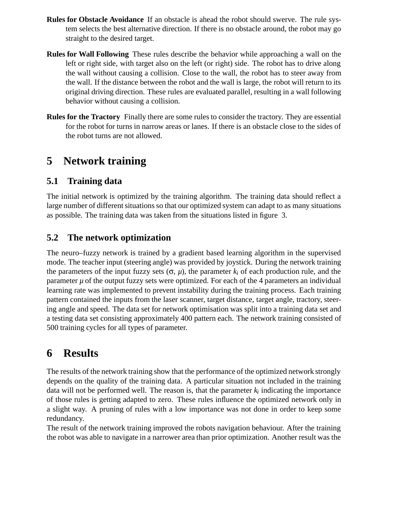- **Rules for Obstacle Avoidance** If an obstacle is ahead the robot should swerve. The rule system selects the best alternative direction. If there is no obstacle around, the robot may go straight to the desired target.
- **Rules for Wall Following** These rules describe the behavior while approaching a wall on the left or right side, with target also on the left (or right) side. The robot has to drive along the wall without causing a collision. Close to the wall, the robot has to steer away from the wall. If the distance between the robot and the wall is large, the robot will return to its original driving direction. These rules are evaluated parallel, resulting in a wall following behavior without causing a collision.
- **Rules for the Tractory** Finally there are some rules to consider the tractory. They are essential for the robot for turns in narrow areas or lanes. If there is an obstacle close to the sides of the robot turns are not allowed.

# **5 Network training**

### **5.1 Training data**

The initial network is optimized by the training algorithm. The training data should reflect a large number of different situations so that our optimized system can adapt to as many situations as possible. The training data was taken from the situations listed in figure 3.

#### **5.2 The network optimization**

The neuro–fuzzy network is trained by a gradient based learning algorithm in the supervised mode. The teacher input (steering angle) was provided by joystick. During the network training the parameters of the input fuzzy sets  $(\sigma, \mu)$ , the parameter  $k_i$  of each production rule, and the parameter  $\mu$  of the output fuzzy sets were optimized. For each of the 4 parameters an individual learning rate was implemented to prevent instability during the training process. Each training pattern contained the inputs from the laser scanner, target distance, target angle, tractory, steering angle and speed. The data set for network optimisation was split into a training data set and a testing data set consisting approximately 400 pattern each. The network training consisted of 500 training cycles for all types of parameter.

# **6 Results**

The results of the network training show that the performance of the optimized network strongly depends on the quality of the training data. A particular situation not included in the training data will not be performed well. The reason is, that the parameter  $k_i$  indicating the importance of those rules is getting adapted to zero. These rules influence the optimized network only in a slight way. A pruning of rules with a low importance was not done in order to keep some redundancy.

The result of the network training improved the robots navigation behaviour. After the training the robot was able to navigate in a narrower area than prior optimization. Another result was the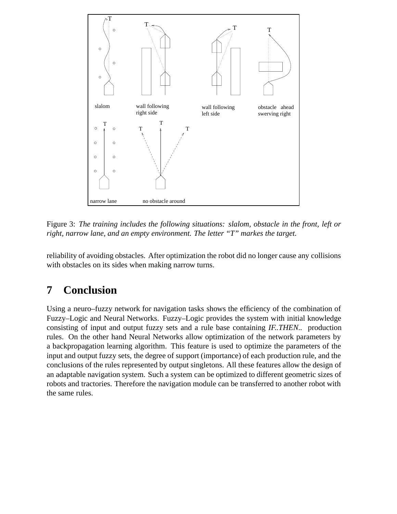

Figure 3: *The training includes the following situations: slalom, obstacle in the front, left or right, narrow lane, and an empty environment. The letter "T" markes the target.*

reliability of avoiding obstacles. After optimization the robot did no longer cause any collisions with obstacles on its sides when making narrow turns.

# **7 Conclusion**

Using a neuro–fuzzy network for navigation tasks shows the efficiency of the combination of Fuzzy–Logic and Neural Networks. Fuzzy–Logic provides the system with initial knowledge consisting of input and output fuzzy sets and a rule base containing *IF..THEN..* production rules. On the other hand Neural Networks allow optimization of the network parameters by a backpropagation learning algorithm. This feature is used to optimize the parameters of the input and output fuzzy sets, the degree of support (importance) of each production rule, and the conclusions of the rules represented by output singletons. All these features allow the design of an adaptable navigation system. Such a system can be optimized to different geometric sizes of robots and tractories. Therefore the navigation module can be transferred to another robot with the same rules.